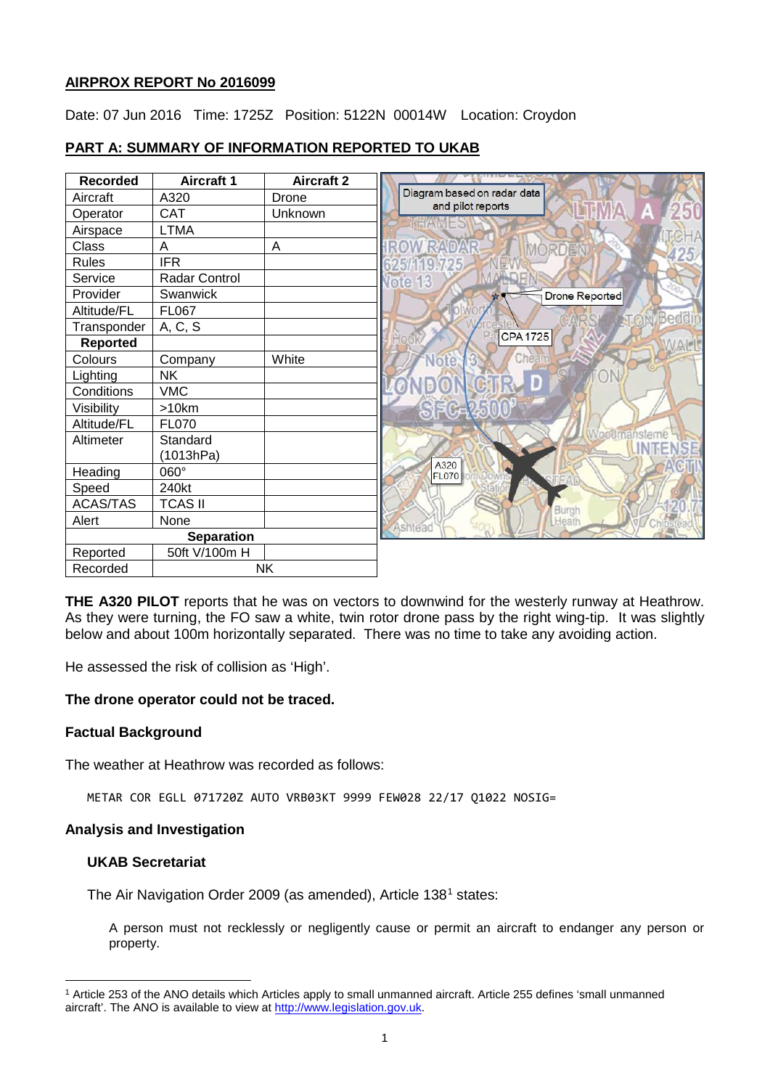# **AIRPROX REPORT No 2016099**

Date: 07 Jun 2016 Time: 1725Z Position: 5122N 00014W Location: Croydon

# **PART A: SUMMARY OF INFORMATION REPORTED TO UKAB**

| <b>Recorded</b>   | <b>Aircraft 1</b> | <b>Aircraft 2</b> |                             |
|-------------------|-------------------|-------------------|-----------------------------|
| Aircraft          | A320              | Drone             | Diagram based on radar data |
| Operator          | <b>CAT</b>        | Unknown           | and pilot reports           |
| Airspace          | <b>LTMA</b>       |                   |                             |
| Class             | A                 | A                 | MORDE                       |
| <b>Rules</b>      | <b>IFR</b>        |                   |                             |
| Service           | Radar Control     |                   | <b>Vote 13</b>              |
| Provider          | Swanwick          |                   | <b>Drone Reported</b>       |
| Altitude/FL       | FL067             |                   | Bedd                        |
| Transponder       | A, C, S           |                   |                             |
| <b>Reported</b>   |                   |                   | <b>CPA1725</b>              |
| Colours           | Company           | White             | Chear<br>afe                |
| Lighting          | <b>NK</b>         |                   |                             |
| Conditions        | <b>VMC</b>        |                   |                             |
| Visibility        | >10km             |                   | S7G2                        |
| Altitude/FL       | <b>FL070</b>      |                   |                             |
| Altimeter         | Standard          |                   |                             |
|                   | (1013hPa)         |                   | A320                        |
| Heading           | 060°              |                   | <b>FL070</b>                |
| Speed             | 240kt             |                   |                             |
| <b>ACAS/TAS</b>   | <b>TCAS II</b>    |                   | Burgh                       |
| Alert             | None              |                   | Heath<br>Ashtead            |
| <b>Separation</b> |                   |                   |                             |
| Reported          | 50ft V/100m H     |                   |                             |
| Recorded          |                   | <b>NK</b>         |                             |

**THE A320 PILOT** reports that he was on vectors to downwind for the westerly runway at Heathrow. As they were turning, the FO saw a white, twin rotor drone pass by the right wing-tip. It was slightly below and about 100m horizontally separated. There was no time to take any avoiding action.

He assessed the risk of collision as 'High'.

## **The drone operator could not be traced.**

## **Factual Background**

The weather at Heathrow was recorded as follows:

METAR COR EGLL 071720Z AUTO VRB03KT 9999 FEW028 22/17 Q1022 NOSIG=

# **Analysis and Investigation**

## **UKAB Secretariat**

l

The Air Navigation Order 2009 (as amended), Article [1](#page-0-0)38<sup>1</sup> states:

A person must not recklessly or negligently cause or permit an aircraft to endanger any person or property.

<span id="page-0-0"></span><sup>1</sup> Article 253 of the ANO details which Articles apply to small unmanned aircraft. Article 255 defines 'small unmanned aircraft'. The ANO is available to view at [http://www.legislation.gov.uk.](http://www.legislation.gov.uk/)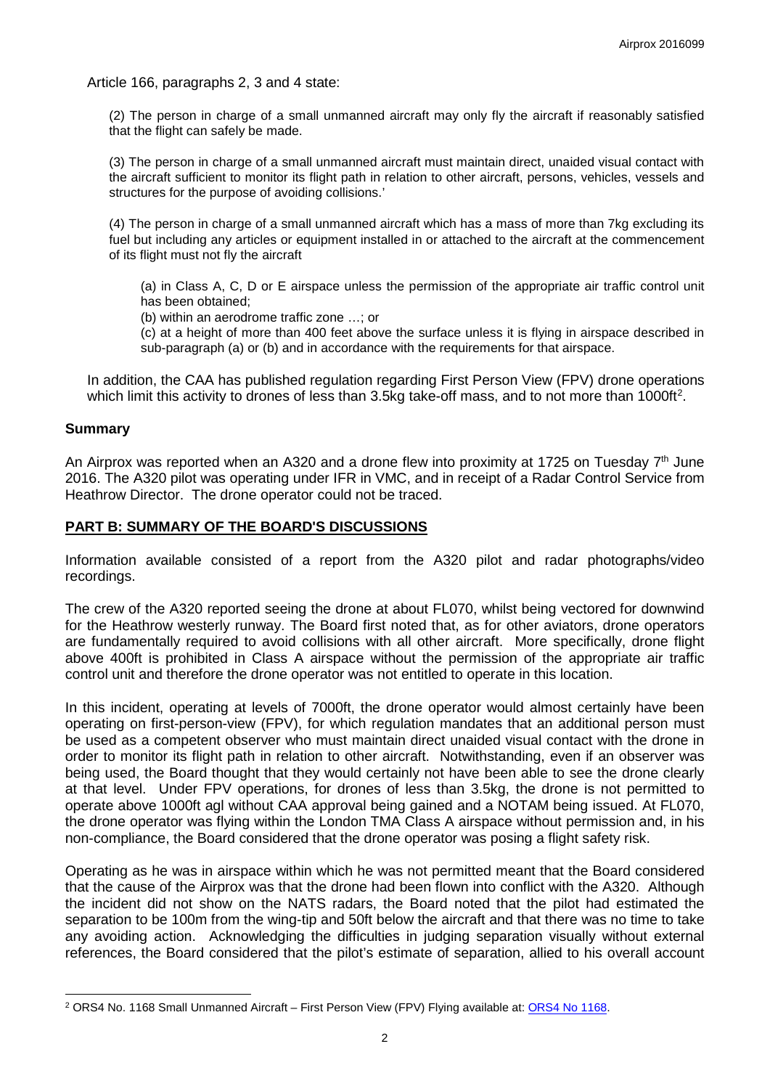Article 166, paragraphs 2, 3 and 4 state:

(2) The person in charge of a small unmanned aircraft may only fly the aircraft if reasonably satisfied that the flight can safely be made.

(3) The person in charge of a small unmanned aircraft must maintain direct, unaided visual contact with the aircraft sufficient to monitor its flight path in relation to other aircraft, persons, vehicles, vessels and structures for the purpose of avoiding collisions.'

(4) The person in charge of a small unmanned aircraft which has a mass of more than 7kg excluding its fuel but including any articles or equipment installed in or attached to the aircraft at the commencement of its flight must not fly the aircraft

(a) in Class A, C, D or E airspace unless the permission of the appropriate air traffic control unit has been obtained;

(b) within an aerodrome traffic zone …; or

(c) at a height of more than 400 feet above the surface unless it is flying in airspace described in sub-paragraph (a) or (b) and in accordance with the requirements for that airspace.

In addition, the CAA has published regulation regarding First Person View (FPV) drone operations which limit this activity to drones of less than 3.5kg take-off mass, and to not more than 1000ft<sup>[2](#page-1-0)</sup>.

#### **Summary**

 $\overline{\phantom{a}}$ 

An Airprox was reported when an A320 and a drone flew into proximity at 1725 on Tuesday  $7<sup>th</sup>$  June 2016. The A320 pilot was operating under IFR in VMC, and in receipt of a Radar Control Service from Heathrow Director. The drone operator could not be traced.

## **PART B: SUMMARY OF THE BOARD'S DISCUSSIONS**

Information available consisted of a report from the A320 pilot and radar photographs/video recordings.

The crew of the A320 reported seeing the drone at about FL070, whilst being vectored for downwind for the Heathrow westerly runway. The Board first noted that, as for other aviators, drone operators are fundamentally required to avoid collisions with all other aircraft. More specifically, drone flight above 400ft is prohibited in Class A airspace without the permission of the appropriate air traffic control unit and therefore the drone operator was not entitled to operate in this location.

In this incident, operating at levels of 7000ft, the drone operator would almost certainly have been operating on first-person-view (FPV), for which regulation mandates that an additional person must be used as a competent observer who must maintain direct unaided visual contact with the drone in order to monitor its flight path in relation to other aircraft. Notwithstanding, even if an observer was being used, the Board thought that they would certainly not have been able to see the drone clearly at that level. Under FPV operations, for drones of less than 3.5kg, the drone is not permitted to operate above 1000ft agl without CAA approval being gained and a NOTAM being issued. At FL070, the drone operator was flying within the London TMA Class A airspace without permission and, in his non-compliance, the Board considered that the drone operator was posing a flight safety risk.

Operating as he was in airspace within which he was not permitted meant that the Board considered that the cause of the Airprox was that the drone had been flown into conflict with the A320. Although the incident did not show on the NATS radars, the Board noted that the pilot had estimated the separation to be 100m from the wing-tip and 50ft below the aircraft and that there was no time to take any avoiding action. Acknowledging the difficulties in judging separation visually without external references, the Board considered that the pilot's estimate of separation, allied to his overall account

<span id="page-1-0"></span><sup>&</sup>lt;sup>2</sup> ORS4 No. 1168 Small Unmanned Aircraft – First Person View (FPV) Flying available at: ORS4 No 1168.